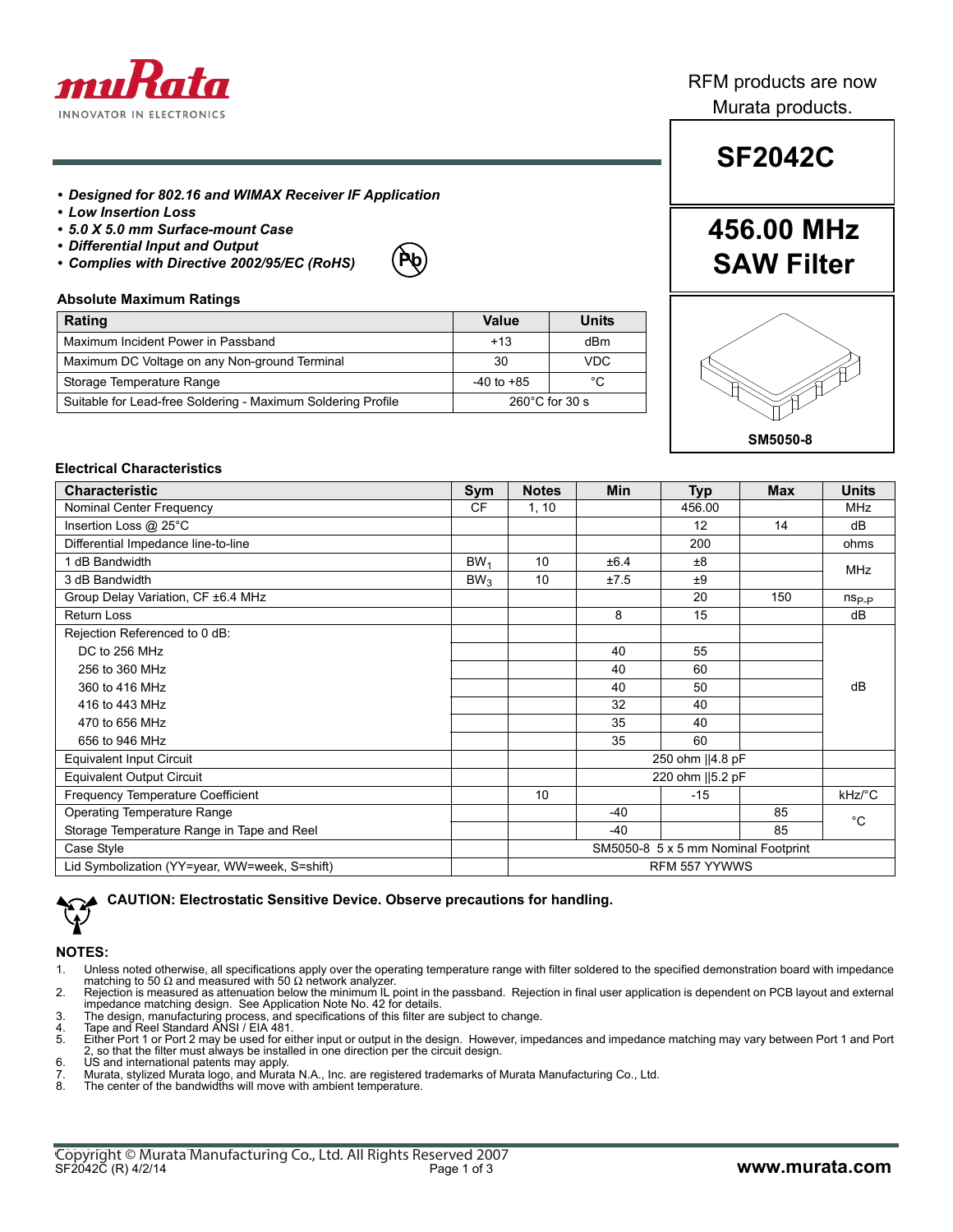

## RFM products are now Murata products.

## *• Designed for 802.16 and WIMAX Receiver IF Application*

- *Low Insertion Loss*
- *5.0 X 5.0 mm Surface-mount Case*
- *Differential Input and Output*
- *Complies with Directive 2002/95/EC (RoHS)*



## **Absolute Maximum Ratings**

| Rating                                                       | Value                    | Units |
|--------------------------------------------------------------|--------------------------|-------|
| Maximum Incident Power in Passband                           | $+13$                    | dBm   |
| Maximum DC Voltage on any Non-ground Terminal                | 30                       | VDC   |
| Storage Temperature Range                                    | $-40$ to $+85$           | °C    |
| Suitable for Lead-free Soldering - Maximum Soldering Profile | $260^{\circ}$ C for 30 s |       |

# **SF2042C**

## **456.00 MHz SAW Filter**



## **Electrical Characteristics**

| <b>Characteristic</b>                         | Sym             | <b>Notes</b>                        | <b>Min</b>       | <b>Typ</b>       | <b>Max</b> | <b>Units</b>   |  |
|-----------------------------------------------|-----------------|-------------------------------------|------------------|------------------|------------|----------------|--|
| Nominal Center Frequency                      | <b>CF</b>       | 1, 10                               |                  | 456.00           |            | <b>MHz</b>     |  |
| Insertion Loss @ 25°C                         |                 |                                     |                  | 12               | 14         | dB             |  |
| Differential Impedance line-to-line           |                 |                                     |                  | 200              |            | ohms           |  |
| 1 dB Bandwidth                                | BW <sub>1</sub> | 10                                  | ±6.4             | ±8               |            | <b>MHz</b>     |  |
| 3 dB Bandwidth                                | BW <sub>3</sub> | 10                                  | ±7.5             | ±9               |            |                |  |
| Group Delay Variation, CF ±6.4 MHz            |                 |                                     |                  | 20               | 150        | $n_{\rm Sp,p}$ |  |
| <b>Return Loss</b>                            |                 |                                     | 8                | 15               |            | dB             |  |
| Rejection Referenced to 0 dB:                 |                 |                                     |                  |                  |            |                |  |
| DC to 256 MHz                                 |                 |                                     | 40               | 55               |            |                |  |
| 256 to 360 MHz                                |                 |                                     | 40               | 60               |            |                |  |
| 360 to 416 MHz                                |                 |                                     | 40               | 50               |            | dB             |  |
| 416 to 443 MHz                                |                 |                                     | 32               | 40               |            |                |  |
| 470 to 656 MHz                                |                 |                                     | 35               | 40               |            |                |  |
| 656 to 946 MHz                                |                 |                                     | 35               | 60               |            |                |  |
| <b>Equivalent Input Circuit</b>               |                 |                                     |                  | 250 ohm   4.8 pF |            |                |  |
| <b>Equivalent Output Circuit</b>              |                 |                                     | 220 ohm   5.2 pF |                  |            |                |  |
| Frequency Temperature Coefficient             |                 | 10                                  |                  | $-15$            |            | kHz/°C         |  |
| Operating Temperature Range                   |                 |                                     | $-40$            |                  | 85         | $^{\circ}C$    |  |
| Storage Temperature Range in Tape and Reel    |                 |                                     | $-40$            |                  | 85         |                |  |
| Case Style                                    |                 | SM5050-8 5 x 5 mm Nominal Footprint |                  |                  |            |                |  |
| Lid Symbolization (YY=year, WW=week, S=shift) |                 |                                     |                  | RFM 557 YYWWS    |            |                |  |

**CAUTION: Electrostatic Sensitive Device. Observe precautions for handling.**

#### **NOTES:**

- 1. Unless noted otherwise, all specifications apply over the operating temperature range with filter soldered to the specified demonstration board with impedance matching to 50  $\Omega$  and measured with 50  $\Omega$  network analyzer.
- 2. Rejection is measured as attenuation below the minimum IL point in the passband. Rejection in final user application is dependent on PCB layout and external impedance matching design. See Application Note No. 42 for details. 3. The design, manufacturing process, and specifications of this filter are subject to change. 4. Tape and Reel Standard ANSI / EIA 481.
- 

- 5. Either Port 1 or Port 2 may be used for either input or output in the design. However, impedances and impedance matching may vary between Port 1 and Port 2, so that the filter must always be installed in one direction per the circuit design.
- 6. US and international patents may apply.
- 7. Murata, stylized Murata logo, and Murata N.A., Inc. are registered trademarks of Murata Manufacturing Co., Ltd.<br>8. The center of the bandwidths will move with ambient temperature
- The center of the bandwidths will move with ambient temperature.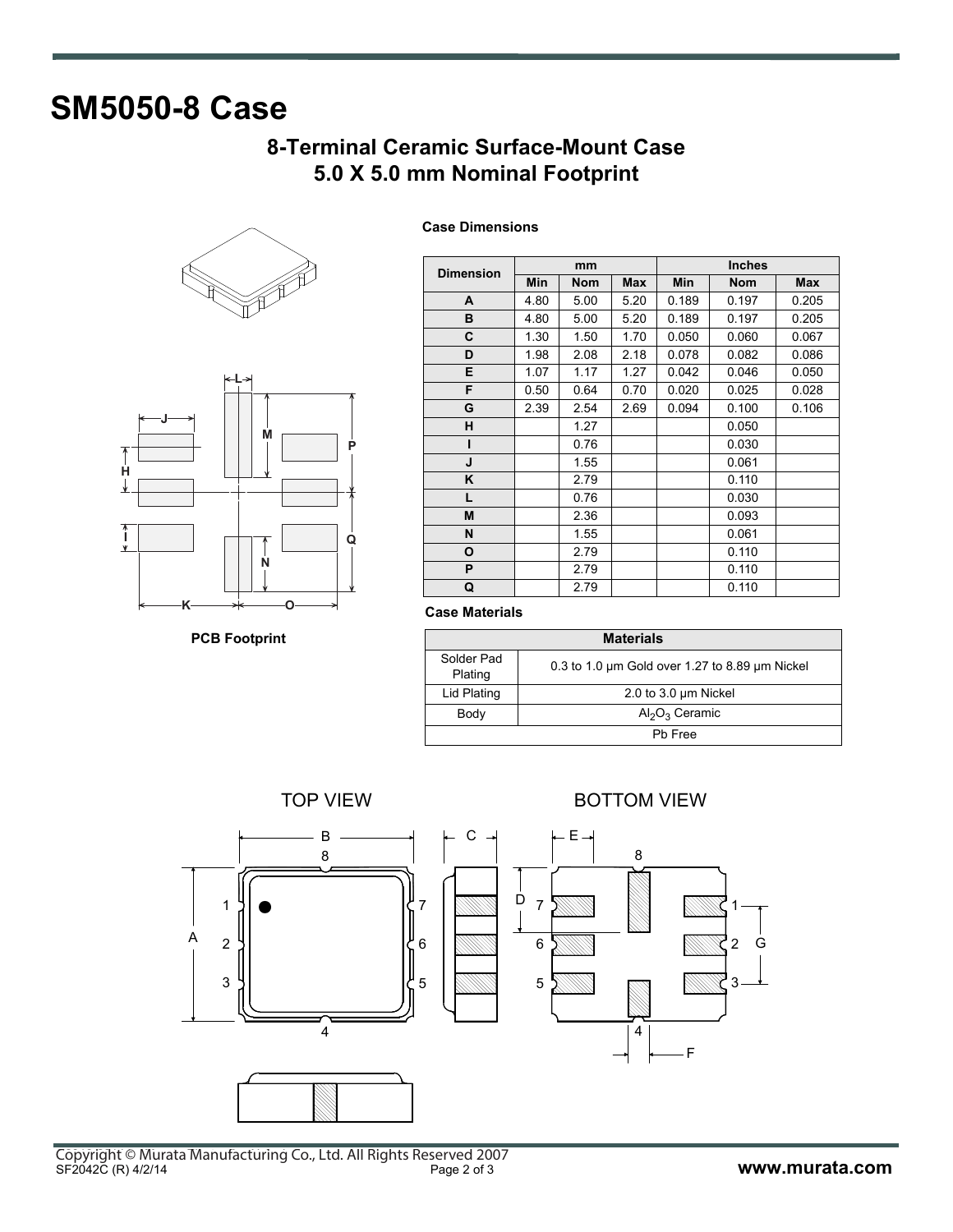# **SM5050-8 Case**

## **8-Terminal Ceramic Surface-Mount Case 5.0 X 5.0 mm Nominal Footprint**





**PCB Footprint**

|                  | mm   |            |            | <b>Inches</b> |            |       |  |
|------------------|------|------------|------------|---------------|------------|-------|--|
| <b>Dimension</b> | Min  | <b>Nom</b> | <b>Max</b> | Min           | <b>Nom</b> | Max   |  |
| A                | 4.80 | 5.00       | 5.20       | 0.189         | 0.197      | 0.205 |  |
| B                | 4.80 | 5.00       | 5.20       | 0.189         | 0.197      | 0.205 |  |
| C                | 1.30 | 1.50       | 1.70       | 0.050         | 0.060      | 0.067 |  |
| D                | 1.98 | 2.08       | 2.18       | 0.078         | 0.082      | 0.086 |  |
| E                | 1.07 | 1.17       | 1.27       | 0.042         | 0.046      | 0.050 |  |
| F                | 0.50 | 0.64       | 0.70       | 0.020         | 0.025      | 0.028 |  |
| G                | 2.39 | 2.54       | 2.69       | 0.094         | 0.100      | 0.106 |  |
| н                |      | 1.27       |            |               | 0.050      |       |  |
| ı                |      | 0.76       |            |               | 0.030      |       |  |
| J                |      | 1.55       |            |               | 0.061      |       |  |
| K                |      | 2.79       |            |               | 0.110      |       |  |
| L.               |      | 0.76       |            |               | 0.030      |       |  |
| M                |      | 2.36       |            |               | 0.093      |       |  |
| N                |      | 1.55       |            |               | 0.061      |       |  |
| O                |      | 2.79       |            |               | 0.110      |       |  |
| P                |      | 2.79       |            |               | 0.110      |       |  |
| Q                |      | 2.79       |            |               | 0.110      |       |  |

**Case Dimensions**

## **Case Materials**

| <b>Materials</b>      |                                                |  |  |  |
|-----------------------|------------------------------------------------|--|--|--|
| Solder Pad<br>Plating | 0.3 to 1.0 um Gold over 1.27 to 8.89 um Nickel |  |  |  |
| Lid Plating           | 2.0 to 3.0 $\mu$ m Nickel                      |  |  |  |
| Body                  | $Al_2O_3$ Ceramic                              |  |  |  |
| Pb Free               |                                                |  |  |  |

TOP VIEW **BOTTOM VIEW** 

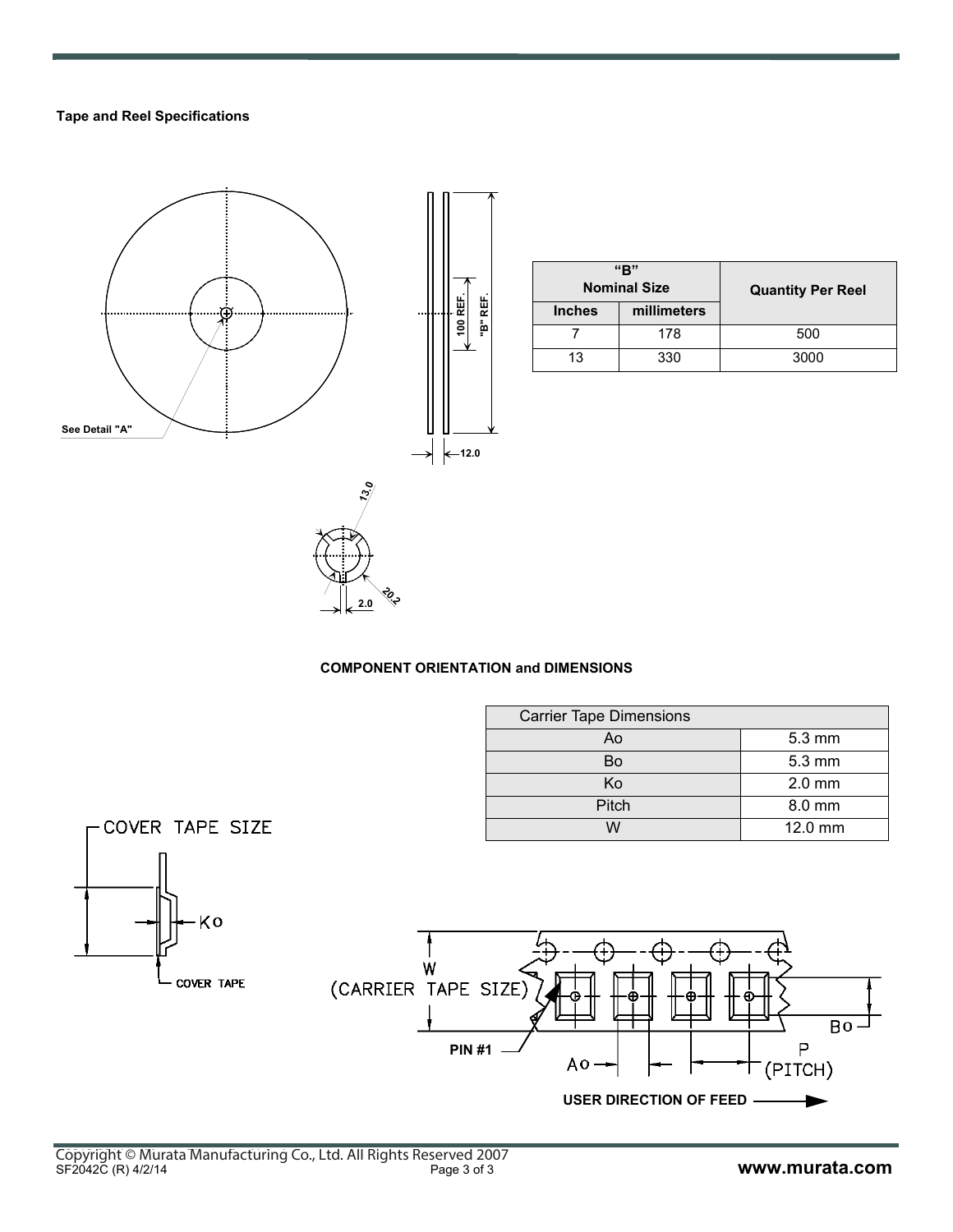## **Tape and Reel Specifications**



| "R"<br><b>Nominal Size</b> |             | <b>Quantity Per Reel</b> |  |
|----------------------------|-------------|--------------------------|--|
| <b>Inches</b>              | millimeters |                          |  |
|                            | 178         | 500                      |  |
| 13                         | 330         | 3000                     |  |

## **COMPONENT ORIENTATION and DIMENSIONS**

**20.2 2.0**

| <b>Carrier Tape Dimensions</b> |                  |
|--------------------------------|------------------|
| Ao                             | $5.3 \text{ mm}$ |
| Bo                             | $5.3 \text{ mm}$ |
| Ko                             | $2.0$ mm         |
| Pitch                          | 8.0 mm           |
| $\Lambda$                      | $12.0$ mm        |

**USER DIRECTION OF FEED**